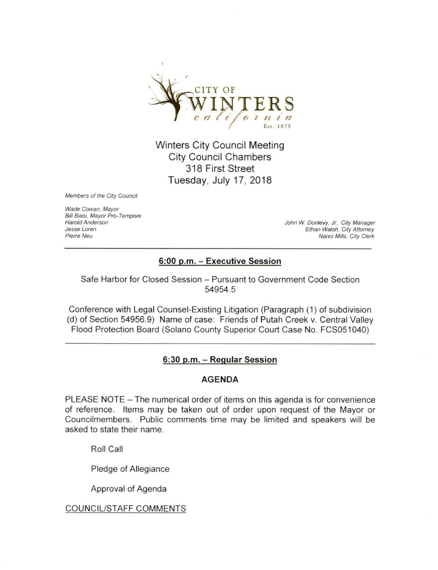

Winters City Council Meeting City Council Chambers 318 First Street Tuesday, July 17, 2018

Members of the City Council

Wade Cowan. Mayor Bill Biasi, Mayor Pro-Tempore<br>Harold Anderson

Harold Anderson John W. Donlevy, Jr.. City Manager Jesse Loren Ethan Walsh, City Attorney Nanci Mills. City Clerk

# 6:00 p.m. - Executive Session

Safe Harbor for Closed Session - Pursuant to Government Code Section 54954.5

Conference with Legal Counsel-Existing Litigation (Paragraph (1) of subdivision (d) of Section 54956.9) Name of case: Friends of Putah Creek v. Central Valley Flood Protection Board (Solano County Superior Court Case No. FCS051040)

## 6:30 p.m. - Regular Session

#### AGENDA

PLEASE NOTE - The numerical order of items on this agenda is for convenience of reference. Items may be taken out of order upon request of the Mayor or Councilmembers. Public comments time may be limited and speakers will be asked to state their name.

Roll Call

Pledge of Allegiance

Approval of Agenda

#### COUNCIL/STAFF COMMENTS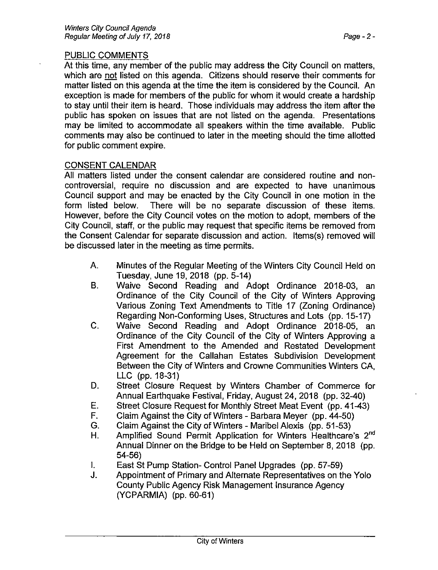## PUBLIC COMMENTS

At this time, any member of the public may address the City Council on matters, which are not listed on this agenda. Citizens should reserve their comments for matter listed on this agenda at the time the item is considered by the Council. An exception is made for members of the public for whom it would create a hardship to stay until their item is heard. Those individuals may address the item after the public has spoken on issues that are not listed on the agenda. Presentations may be limited to accommodate all speakers within the time available. Public comments may also be continued to later in the meeting should the time allotted for public comment expire.

# CONSENT CALENDAR

All matters listed under the consent calendar are considered routine and noncontroversial, require no discussion and are expected to have unanimous Council support and may be enacted by the City Council in one motion in the form listed below. There will be no separate discussion of these items. However, before the City Council votes on the motion to adopt, members of the City Council, staff, or the public may request that specific items be removed from the Consent Calendar for separate discussion and action. Items(s) removed will be discussed later in the meeting as time permits.

- A. Minutes of the Regular Meeting of the Winters City Council Held on Tuesday, June 19, 2018 (pp. 5-14)
- B. Waive Second Reading and Adopt Ordinance 2018-03, an Ordinance of the City Council of the City of Winters Approving Various Zoning Text Amendments to Title 17 (Zoning Ordinance) Regarding Non-Conforming Uses, Structures and Lots (pp. 15-17)
- C. Waive Second Reading and Adopt Ordinance 2018-05, an Ordinance of the City Council of the City of Winters Approving a First Amendment to the Amended and Restated Development Agreement for the Callahan Estates Subdivision Development Between the City of Winters and Crowne Communities Winters CA, LLC (pp. 18-31)
- D. Street Closure Request by Winters Chamber of Commerce for Annual Earthquake Festival, Friday, August 24, 2018 (pp. 32-40)
- E. Street Closure Request for Monthly Street Meat Event (pp. 41-43)
- F. Claim Against the City of Winters Barbara Meyer (pp. 44-50)
- G. Claim Against the City of Winters Maribel Alexis (pp. 51-53)
- H. Amplified Sound Permit Application for Winters Healthcare's 2<sup>nd</sup> Annual Dinner on the Bridge to be Held on September 8, 2018 (pp. 54-56)
- I. East St Pump Station- Control Panel Upgrades (pp. 57-59)<br>J. Appointment of Primary and Alternate Representatives on th
- Appointment of Primary and Alternate Representatives on the Yolo County Public Agency Risk Management Insurance Agency (YCPARMIA) (pp. 60-61)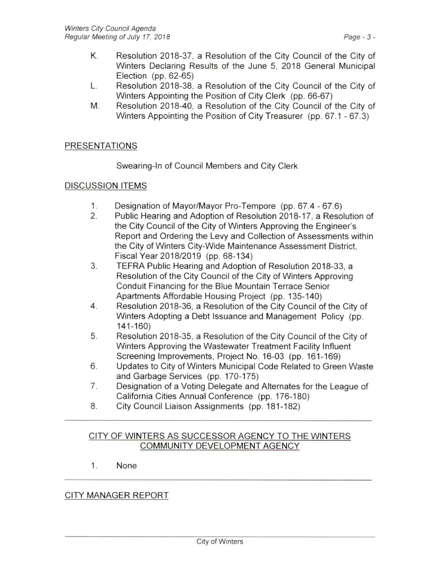- K. Resolution 2018-37, a Resolution of the City Council of the City of Winters Declaring Results of the June 5, 2018 General Municipal Election (pp. 62-65)
- L. Resolution 2018-38, a Resolution of the City Council of the City of Winters Appointing the Position of City Clerk (pp. 66-67)
- M. Resolution 2018-40, a Resolution of the City Council of the City of Winters Appointing the Position of City Treasurer (pp. 67.1 - 67.3)

# PRESENTATIONS

Swearing-In of Council Members and City Clerk

### DISCUSSION ITEMS

- 1. Designation of Mayor/Mayor Pro-Tempore (pp. 67.4 67.6)<br>2. Public Hearing and Adoption of Resolution 2018-17, a Reso
- 2. Public Hearing and Adoption of Resolution 2018-17, a Resolution of the City Council of the City of Winters Approving the Engineer's Report and Ordering the Levy and Collection of Assessments within the City of Winters City-Wide Maintenance Assessment District, Fiscal Year 2018/2019 (pp. 68-134)
- 3. TERRA Public Hearing and Adoption of Resolution 2018-33, a Resolution of the City Council of the City of Winters Approving Conduit Financing for the Blue Mountain Terrace Senior Apartments Affordable Housing Project (pp. 135-140)
- 4. Resolution 2018-36, a Resolution of the City Council of the City of Winters Adopting a Debt Issuance and Management Policy (pp. 141-160)
- 5. Resolution 2018-35, a Resolution of the City Council of the City of Winters Approving the Wastewater Treatment Facility Influent Screening Improvements, Project No. 16-03 (pp. 161-169)
- 6. Updates to City of Winters Municipal Code Related to Green Waste and Garbage Services (pp. 170-175)
- 7. Designation of a Voting Delegate and Alternates for the League of California Cities Annual Conference (pp. 176-180)
- 8. City Council Liaison Assignments (pp. 181-182)

### CITY OF WINTERS AS SUCCESSOR AGENCY TO THE WINTERS COMMUNITY DEVELOPMENT AGENCY

1. None

## CITY MANAGER REPORT